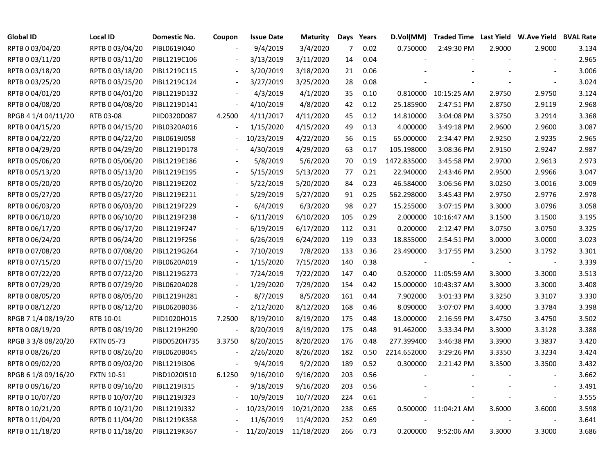| <b>Global ID</b>    | <b>Local ID</b>   | Domestic No. | Coupon                   | <b>Issue Date</b> | <b>Maturity</b> |     | Days Years | D.Vol(MM)   |                      |        | Traded Time Last Yield W.Ave Yield BVAL Rate |       |
|---------------------|-------------------|--------------|--------------------------|-------------------|-----------------|-----|------------|-------------|----------------------|--------|----------------------------------------------|-------|
| RPTB 0 03/04/20     | RPTB 0 03/04/20   | PIBL0619I040 |                          | 9/4/2019          | 3/4/2020        | 7   | 0.02       | 0.750000    | 2:49:30 PM           | 2.9000 | 2.9000                                       | 3.134 |
| RPTB 0 03/11/20     | RPTB 0 03/11/20   | PIBL1219C106 |                          | 3/13/2019         | 3/11/2020       | 14  | 0.04       |             |                      |        |                                              | 2.965 |
| RPTB 0 03/18/20     | RPTB 0 03/18/20   | PIBL1219C115 |                          | 3/20/2019         | 3/18/2020       | 21  | 0.06       |             |                      |        |                                              | 3.006 |
| RPTB 0 03/25/20     | RPTB 0 03/25/20   | PIBL1219C124 | $\overline{\phantom{a}}$ | 3/27/2019         | 3/25/2020       | 28  | 0.08       |             |                      |        |                                              | 3.024 |
| RPTB 0 04/01/20     | RPTB 0 04/01/20   | PIBL1219D132 | $\overline{\phantom{a}}$ | 4/3/2019          | 4/1/2020        | 35  | 0.10       |             | 0.810000 10:15:25 AM | 2.9750 | 2.9750                                       | 3.124 |
| RPTB 0 04/08/20     | RPTB 0 04/08/20   | PIBL1219D141 | $\overline{\phantom{a}}$ | 4/10/2019         | 4/8/2020        | 42  | 0.12       | 25.185900   | 2:47:51 PM           | 2.8750 | 2.9119                                       | 2.968 |
| RPGB 4 1/4 04/11/20 | RTB 03-08         | PIID0320D087 | 4.2500                   | 4/11/2017         | 4/11/2020       | 45  | 0.12       | 14.810000   | 3:04:08 PM           | 3.3750 | 3.2914                                       | 3.368 |
| RPTB 0 04/15/20     | RPTB 0 04/15/20   | PIBL0320A016 |                          | 1/15/2020         | 4/15/2020       | 49  | 0.13       | 4.000000    | 3:49:18 PM           | 2.9600 | 2.9600                                       | 3.087 |
| RPTB 0 04/22/20     | RPTB 0 04/22/20   | PIBL0619J058 |                          | 10/23/2019        | 4/22/2020       | 56  | 0.15       | 65.000000   | 2:34:47 PM           | 2.9250 | 2.9235                                       | 2.965 |
| RPTB 0 04/29/20     | RPTB 0 04/29/20   | PIBL1219D178 |                          | 4/30/2019         | 4/29/2020       | 63  | 0.17       | 105.198000  | 3:08:36 PM           | 2.9150 | 2.9247                                       | 2.987 |
| RPTB 0 05/06/20     | RPTB 0 05/06/20   | PIBL1219E186 |                          | 5/8/2019          | 5/6/2020        | 70  | 0.19       | 1472.835000 | 3:45:58 PM           | 2.9700 | 2.9613                                       | 2.973 |
| RPTB 0 05/13/20     | RPTB 0 05/13/20   | PIBL1219E195 |                          | 5/15/2019         | 5/13/2020       | 77  | 0.21       | 22.940000   | 2:43:46 PM           | 2.9500 | 2.9966                                       | 3.047 |
| RPTB 0 05/20/20     | RPTB 0 05/20/20   | PIBL1219E202 |                          | 5/22/2019         | 5/20/2020       | 84  | 0.23       | 46.584000   | 3:06:56 PM           | 3.0250 | 3.0016                                       | 3.009 |
| RPTB 0 05/27/20     | RPTB 0 05/27/20   | PIBL1219E211 |                          | 5/29/2019         | 5/27/2020       | 91  | 0.25       | 562.298000  | 3:45:43 PM           | 2.9750 | 2.9776                                       | 2.978 |
| RPTB 0 06/03/20     | RPTB 0 06/03/20   | PIBL1219F229 |                          | 6/4/2019          | 6/3/2020        | 98  | 0.27       | 15.255000   | 3:07:15 PM           | 3.3000 | 3.0796                                       | 3.058 |
| RPTB 0 06/10/20     | RPTB 0 06/10/20   | PIBL1219F238 |                          | 6/11/2019         | 6/10/2020       | 105 | 0.29       | 2.000000    | 10:16:47 AM          | 3.1500 | 3.1500                                       | 3.195 |
| RPTB 0 06/17/20     | RPTB 0 06/17/20   | PIBL1219F247 |                          | 6/19/2019         | 6/17/2020       | 112 | 0.31       | 0.200000    | 2:12:47 PM           | 3.0750 | 3.0750                                       | 3.325 |
| RPTB 0 06/24/20     | RPTB 0 06/24/20   | PIBL1219F256 | $\overline{\phantom{a}}$ | 6/26/2019         | 6/24/2020       | 119 | 0.33       | 18.855000   | 2:54:51 PM           | 3.0000 | 3.0000                                       | 3.023 |
| RPTB 0 07/08/20     | RPTB 0 07/08/20   | PIBL1219G264 | $\overline{\phantom{a}}$ | 7/10/2019         | 7/8/2020        | 133 | 0.36       | 23.490000   | 3:17:55 PM           | 3.2500 | 3.1792                                       | 3.301 |
| RPTB 0 07/15/20     | RPTB 0 07/15/20   | PIBL0620A019 |                          | 1/15/2020         | 7/15/2020       | 140 | 0.38       | $\sim$      |                      |        |                                              | 3.339 |
| RPTB 0 07/22/20     | RPTB 0 07/22/20   | PIBL1219G273 |                          | 7/24/2019         | 7/22/2020       | 147 | 0.40       | 0.520000    | 11:05:59 AM          | 3.3000 | 3.3000                                       | 3.513 |
| RPTB 0 07/29/20     | RPTB 0 07/29/20   | PIBL0620A028 |                          | 1/29/2020         | 7/29/2020       | 154 | 0.42       | 15.000000   | 10:43:37 AM          | 3.3000 | 3.3000                                       | 3.408 |
| RPTB 0 08/05/20     | RPTB 0 08/05/20   | PIBL1219H281 |                          | 8/7/2019          | 8/5/2020        | 161 | 0.44       | 7.902000    | 3:01:33 PM           | 3.3250 | 3.3107                                       | 3.330 |
| RPTB 0 08/12/20     | RPTB 0 08/12/20   | PIBL0620B036 | $\blacksquare$           | 2/12/2020         | 8/12/2020       | 168 | 0.46       | 8.090000    | 3:07:07 PM           | 3.4000 | 3.3784                                       | 3.398 |
| RPGB 7 1/4 08/19/20 | RTB 10-01         | PIID1020H015 | 7.2500                   | 8/19/2010         | 8/19/2020       | 175 | 0.48       | 13.000000   | 2:16:59 PM           | 3.4750 | 3.4750                                       | 3.502 |
| RPTB 0 08/19/20     | RPTB 0 08/19/20   | PIBL1219H290 | $\overline{\phantom{a}}$ | 8/20/2019         | 8/19/2020       | 175 | 0.48       | 91.462000   | 3:33:34 PM           | 3.3000 | 3.3128                                       | 3.388 |
| RPGB 3 3/8 08/20/20 | <b>FXTN 05-73</b> | PIBD0520H735 | 3.3750                   | 8/20/2015         | 8/20/2020       | 176 | 0.48       | 277.399400  | 3:46:38 PM           | 3.3900 | 3.3837                                       | 3.420 |
| RPTB 0 08/26/20     | RPTB 0 08/26/20   | PIBL0620B045 |                          | 2/26/2020         | 8/26/2020       | 182 | 0.50       | 2214.652000 | 3:29:26 PM           | 3.3350 | 3.3234                                       | 3.424 |
| RPTB 0 09/02/20     | RPTB 0 09/02/20   | PIBL1219I306 |                          | 9/4/2019          | 9/2/2020        | 189 | 0.52       | 0.300000    | 2:21:42 PM           | 3.3500 | 3.3500                                       | 3.432 |
| RPGB 6 1/8 09/16/20 | <b>FXTN 10-51</b> | PIBD1020I510 | 6.1250                   | 9/16/2010         | 9/16/2020       | 203 | 0.56       |             |                      |        |                                              | 3.662 |
| RPTB 0 09/16/20     | RPTB 0 09/16/20   | PIBL1219I315 | $\overline{\phantom{a}}$ | 9/18/2019         | 9/16/2020       | 203 | 0.56       |             |                      |        |                                              | 3.491 |
| RPTB 0 10/07/20     | RPTB 0 10/07/20   | PIBL1219J323 | $\overline{\phantom{a}}$ | 10/9/2019         | 10/7/2020       | 224 | 0.61       |             |                      |        | $\blacksquare$                               | 3.555 |
| RPTB 0 10/21/20     | RPTB 0 10/21/20   | PIBL1219J332 |                          | 10/23/2019        | 10/21/2020      | 238 | 0.65       |             | 0.500000 11:04:21 AM | 3.6000 | 3.6000                                       | 3.598 |
| RPTB 0 11/04/20     | RPTB 0 11/04/20   | PIBL1219K358 |                          | 11/6/2019         | 11/4/2020       | 252 | 0.69       |             |                      |        |                                              | 3.641 |
| RPTB 0 11/18/20     | RPTB 0 11/18/20   | PIBL1219K367 |                          | 11/20/2019        | 11/18/2020      | 266 | 0.73       | 0.200000    | 9:52:06 AM           | 3.3000 | 3.3000                                       | 3.686 |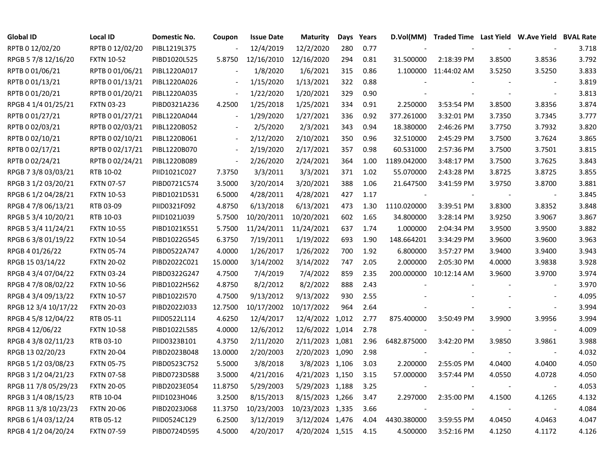| <b>Global ID</b>     | Local ID          | Domestic No. | Coupon                   | <b>Issue Date</b> | <b>Maturity</b>  | Days | Years | D.Vol(MM)   | Traded Time Last Yield W.Ave Yield BVAL Rate |        |                          |       |
|----------------------|-------------------|--------------|--------------------------|-------------------|------------------|------|-------|-------------|----------------------------------------------|--------|--------------------------|-------|
| RPTB 0 12/02/20      | RPTB 0 12/02/20   | PIBL1219L375 |                          | 12/4/2019         | 12/2/2020        | 280  | 0.77  |             |                                              |        |                          | 3.718 |
| RPGB 5 7/8 12/16/20  | <b>FXTN 10-52</b> | PIBD1020L525 | 5.8750                   | 12/16/2010        | 12/16/2020       | 294  | 0.81  | 31.500000   | 2:18:39 PM                                   | 3.8500 | 3.8536                   | 3.792 |
| RPTB 0 01/06/21      | RPTB 0 01/06/21   | PIBL1220A017 |                          | 1/8/2020          | 1/6/2021         | 315  | 0.86  |             | 1.100000 11:44:02 AM                         | 3.5250 | 3.5250                   | 3.833 |
| RPTB 0 01/13/21      | RPTB 0 01/13/21   | PIBL1220A026 | $\overline{\phantom{a}}$ | 1/15/2020         | 1/13/2021        | 322  | 0.88  |             |                                              |        | $\overline{\phantom{a}}$ | 3.819 |
| RPTB 0 01/20/21      | RPTB 0 01/20/21   | PIBL1220A035 | $\overline{\phantom{a}}$ | 1/22/2020         | 1/20/2021        | 329  | 0.90  |             |                                              |        | $\overline{\phantom{a}}$ | 3.813 |
| RPGB 4 1/4 01/25/21  | <b>FXTN 03-23</b> | PIBD0321A236 | 4.2500                   | 1/25/2018         | 1/25/2021        | 334  | 0.91  | 2.250000    | 3:53:54 PM                                   | 3.8500 | 3.8356                   | 3.874 |
| RPTB 0 01/27/21      | RPTB 0 01/27/21   | PIBL1220A044 | $\overline{\phantom{a}}$ | 1/29/2020         | 1/27/2021        | 336  | 0.92  | 377.261000  | 3:32:01 PM                                   | 3.7350 | 3.7345                   | 3.777 |
| RPTB 0 02/03/21      | RPTB 0 02/03/21   | PIBL1220B052 |                          | 2/5/2020          | 2/3/2021         | 343  | 0.94  | 18.380000   | 2:46:26 PM                                   | 3.7750 | 3.7932                   | 3.820 |
| RPTB 0 02/10/21      | RPTB 0 02/10/21   | PIBL1220B061 | $\overline{\phantom{a}}$ | 2/12/2020         | 2/10/2021        | 350  | 0.96  | 32.510000   | 2:45:29 PM                                   | 3.7500 | 3.7624                   | 3.865 |
| RPTB 0 02/17/21      | RPTB 0 02/17/21   | PIBL1220B070 | $\blacksquare$           | 2/19/2020         | 2/17/2021        | 357  | 0.98  | 60.531000   | 2:57:36 PM                                   | 3.7500 | 3.7501                   | 3.815 |
| RPTB 0 02/24/21      | RPTB 0 02/24/21   | PIBL1220B089 | $\overline{\phantom{a}}$ | 2/26/2020         | 2/24/2021        | 364  | 1.00  | 1189.042000 | 3:48:17 PM                                   | 3.7500 | 3.7625                   | 3.843 |
| RPGB 7 3/8 03/03/21  | RTB 10-02         | PIID1021C027 | 7.3750                   | 3/3/2011          | 3/3/2021         | 371  | 1.02  | 55.070000   | 2:43:28 PM                                   | 3.8725 | 3.8725                   | 3.855 |
| RPGB 3 1/2 03/20/21  | <b>FXTN 07-57</b> | PIBD0721C574 | 3.5000                   | 3/20/2014         | 3/20/2021        | 388  | 1.06  | 21.647500   | 3:41:59 PM                                   | 3.9750 | 3.8700                   | 3.881 |
| RPGB 6 1/2 04/28/21  | <b>FXTN 10-53</b> | PIBD1021D531 | 6.5000                   | 4/28/2011         | 4/28/2021        | 427  | 1.17  |             |                                              |        | $\overline{\phantom{a}}$ | 3.845 |
| RPGB 4 7/8 06/13/21  | RTB 03-09         | PIID0321F092 | 4.8750                   | 6/13/2018         | 6/13/2021        | 473  | 1.30  | 1110.020000 | 3:39:51 PM                                   | 3.8300 | 3.8352                   | 3.848 |
| RPGB 5 3/4 10/20/21  | RTB 10-03         | PIID1021J039 | 5.7500                   | 10/20/2011        | 10/20/2021       | 602  | 1.65  | 34.800000   | 3:28:14 PM                                   | 3.9250 | 3.9067                   | 3.867 |
| RPGB 5 3/4 11/24/21  | <b>FXTN 10-55</b> | PIBD1021K551 | 5.7500                   | 11/24/2011        | 11/24/2021       | 637  | 1.74  | 1.000000    | 2:04:34 PM                                   | 3.9500 | 3.9500                   | 3.882 |
| RPGB 6 3/8 01/19/22  | <b>FXTN 10-54</b> | PIBD1022G545 | 6.3750                   | 7/19/2011         | 1/19/2022        | 693  | 1.90  | 148.664201  | 3:34:29 PM                                   | 3.9600 | 3.9600                   | 3.963 |
| RPGB 4 01/26/22      | <b>FXTN 05-74</b> | PIBD0522A747 | 4.0000                   | 1/26/2017         | 1/26/2022        | 700  | 1.92  | 6.800000    | 3:57:27 PM                                   | 3.9400 | 3.9400                   | 3.943 |
| RPGB 15 03/14/22     | <b>FXTN 20-02</b> | PIBD2022C021 | 15.0000                  | 3/14/2002         | 3/14/2022        | 747  | 2.05  | 2.000000    | 2:05:30 PM                                   | 4.0000 | 3.9838                   | 3.928 |
| RPGB 4 3/4 07/04/22  | <b>FXTN 03-24</b> | PIBD0322G247 | 4.7500                   | 7/4/2019          | 7/4/2022         | 859  | 2.35  | 200.000000  | 10:12:14 AM                                  | 3.9600 | 3.9700                   | 3.974 |
| RPGB 4 7/8 08/02/22  | <b>FXTN 10-56</b> | PIBD1022H562 | 4.8750                   | 8/2/2012          | 8/2/2022         | 888  | 2.43  |             |                                              |        | $\sim$                   | 3.970 |
| RPGB 4 3/4 09/13/22  | <b>FXTN 10-57</b> | PIBD1022I570 | 4.7500                   | 9/13/2012         | 9/13/2022        | 930  | 2.55  |             |                                              |        | $\sim$                   | 4.095 |
| RPGB 12 3/4 10/17/22 | <b>FXTN 20-03</b> | PIBD2022J033 | 12.7500                  | 10/17/2002        | 10/17/2022       | 964  | 2.64  |             |                                              |        | $\sim$                   | 3.994 |
| RPGB 4 5/8 12/04/22  | RTB 05-11         | PIID0522L114 | 4.6250                   | 12/4/2017         | 12/4/2022 1,012  |      | 2.77  | 875.400000  | 3:50:49 PM                                   | 3.9900 | 3.9956                   | 3.994 |
| RPGB 4 12/06/22      | <b>FXTN 10-58</b> | PIBD1022L585 | 4.0000                   | 12/6/2012         | 12/6/2022 1,014  |      | 2.78  |             |                                              |        | $\blacksquare$           | 4.009 |
| RPGB 4 3/8 02/11/23  | RTB 03-10         | PIID0323B101 | 4.3750                   | 2/11/2020         | 2/11/2023 1,081  |      | 2.96  | 6482.875000 | 3:42:20 PM                                   | 3.9850 | 3.9861                   | 3.988 |
| RPGB 13 02/20/23     | <b>FXTN 20-04</b> | PIBD2023B048 | 13.0000                  | 2/20/2003         | 2/20/2023 1,090  |      | 2.98  |             |                                              |        | $\overline{\phantom{a}}$ | 4.032 |
| RPGB 5 1/2 03/08/23  | <b>FXTN 05-75</b> | PIBD0523C752 | 5.5000                   | 3/8/2018          | 3/8/2023 1,106   |      | 3.03  | 2.200000    | 2:55:05 PM                                   | 4.0400 | 4.0400                   | 4.050 |
| RPGB 3 1/2 04/21/23  | <b>FXTN 07-58</b> | PIBD0723D588 | 3.5000                   | 4/21/2016         | 4/21/2023 1,150  |      | 3.15  | 57.000000   | 3:57:44 PM                                   | 4.0550 | 4.0728                   | 4.050 |
| RPGB 11 7/8 05/29/23 | <b>FXTN 20-05</b> | PIBD2023E054 | 11.8750                  | 5/29/2003         | 5/29/2023 1,188  |      | 3.25  |             |                                              |        | $\blacksquare$           | 4.053 |
| RPGB 3 1/4 08/15/23  | RTB 10-04         | PIID1023H046 | 3.2500                   | 8/15/2013         | 8/15/2023 1,266  |      | 3.47  | 2.297000    | 2:35:00 PM                                   | 4.1500 | 4.1265                   | 4.132 |
| RPGB 11 3/8 10/23/23 | <b>FXTN 20-06</b> | PIBD2023J068 | 11.3750                  | 10/23/2003        | 10/23/2023 1,335 |      | 3.66  |             |                                              |        | $\blacksquare$           | 4.084 |
| RPGB 6 1/4 03/12/24  | RTB 05-12         | PIID0524C129 | 6.2500                   | 3/12/2019         | 3/12/2024 1,476  |      | 4.04  | 4430.380000 | 3:59:55 PM                                   | 4.0450 | 4.0463                   | 4.047 |
| RPGB 4 1/2 04/20/24  | <b>FXTN 07-59</b> | PIBD0724D595 | 4.5000                   | 4/20/2017         | 4/20/2024 1,515  |      | 4.15  | 4.500000    | 3:52:16 PM                                   | 4.1250 | 4.1172                   | 4.126 |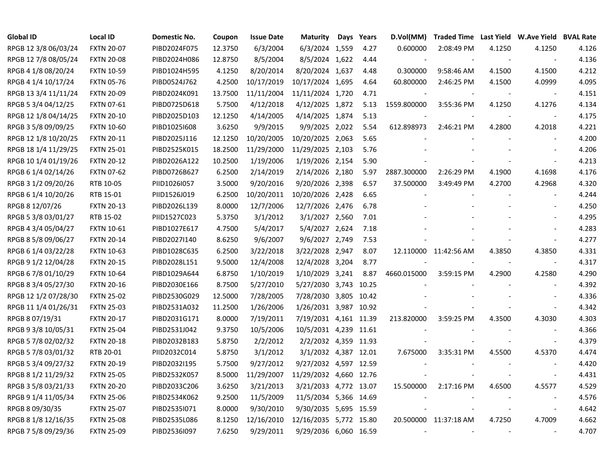| <b>Global ID</b>     | <b>Local ID</b>   | Domestic No. | Coupon  | <b>Issue Date</b> | <b>Maturity</b>        | Days Years | D.Vol(MM)   |                          |                          | Traded Time Last Yield W.Ave Yield BVAL Rate |       |
|----------------------|-------------------|--------------|---------|-------------------|------------------------|------------|-------------|--------------------------|--------------------------|----------------------------------------------|-------|
| RPGB 12 3/8 06/03/24 | <b>FXTN 20-07</b> | PIBD2024F075 | 12.3750 | 6/3/2004          | 6/3/2024 1,559         | 4.27       | 0.600000    | 2:08:49 PM               | 4.1250                   | 4.1250                                       | 4.126 |
| RPGB 12 7/8 08/05/24 | <b>FXTN 20-08</b> | PIBD2024H086 | 12.8750 | 8/5/2004          | 8/5/2024 1,622         | 4.44       |             |                          |                          |                                              | 4.136 |
| RPGB 4 1/8 08/20/24  | <b>FXTN 10-59</b> | PIBD1024H595 | 4.1250  | 8/20/2014         | 8/20/2024 1,637        | 4.48       | 0.300000    | 9:58:46 AM               | 4.1500                   | 4.1500                                       | 4.212 |
| RPGB 4 1/4 10/17/24  | <b>FXTN 05-76</b> | PIBD0524J762 | 4.2500  | 10/17/2019        | 10/17/2024 1,695       | 4.64       | 60.800000   | 2:46:25 PM               | 4.1500                   | 4.0999                                       | 4.095 |
| RPGB 13 3/4 11/11/24 | <b>FXTN 20-09</b> | PIBD2024K091 | 13.7500 | 11/11/2004        | 11/11/2024 1,720       | 4.71       |             |                          |                          |                                              | 4.151 |
| RPGB 5 3/4 04/12/25  | <b>FXTN 07-61</b> | PIBD0725D618 | 5.7500  | 4/12/2018         | 4/12/2025 1,872        | 5.13       | 1559.800000 | 3:55:36 PM               | 4.1250                   | 4.1276                                       | 4.134 |
| RPGB 12 1/8 04/14/25 | <b>FXTN 20-10</b> | PIBD2025D103 | 12.1250 | 4/14/2005         | 4/14/2025 1,874        | 5.13       |             |                          |                          |                                              | 4.175 |
| RPGB 3 5/8 09/09/25  | <b>FXTN 10-60</b> | PIBD1025I608 | 3.6250  | 9/9/2015          | 9/9/2025 2,022         | 5.54       | 612.898973  | 2:46:21 PM               | 4.2800                   | 4.2018                                       | 4.221 |
| RPGB 12 1/8 10/20/25 | <b>FXTN 20-11</b> | PIBD2025J116 | 12.1250 | 10/20/2005        | 10/20/2025 2,063       | 5.65       |             |                          |                          |                                              | 4.200 |
| RPGB 18 1/4 11/29/25 | <b>FXTN 25-01</b> | PIBD2525K015 | 18.2500 | 11/29/2000        | 11/29/2025 2,103       | 5.76       |             |                          |                          |                                              | 4.206 |
| RPGB 10 1/4 01/19/26 | <b>FXTN 20-12</b> | PIBD2026A122 | 10.2500 | 1/19/2006         | 1/19/2026 2,154        | 5.90       |             |                          |                          |                                              | 4.213 |
| RPGB 6 1/4 02/14/26  | <b>FXTN 07-62</b> | PIBD0726B627 | 6.2500  | 2/14/2019         | 2/14/2026 2,180        | 5.97       | 2887.300000 | 2:26:29 PM               | 4.1900                   | 4.1698                                       | 4.176 |
| RPGB 3 1/2 09/20/26  | RTB 10-05         | PIID1026I057 | 3.5000  | 9/20/2016         | 9/20/2026 2,398        | 6.57       | 37.500000   | 3:49:49 PM               | 4.2700                   | 4.2968                                       | 4.320 |
| RPGB 6 1/4 10/20/26  | RTB 15-01         | PIID1526J019 | 6.2500  | 10/20/2011        | 10/20/2026 2,428       | 6.65       |             |                          |                          |                                              | 4.244 |
| RPGB 8 12/07/26      | <b>FXTN 20-13</b> | PIBD2026L139 | 8.0000  | 12/7/2006         | 12/7/2026 2,476        | 6.78       |             |                          |                          |                                              | 4.250 |
| RPGB 5 3/8 03/01/27  | RTB 15-02         | PIID1527C023 | 5.3750  | 3/1/2012          | 3/1/2027 2,560         | 7.01       |             |                          |                          |                                              | 4.295 |
| RPGB 4 3/4 05/04/27  | <b>FXTN 10-61</b> | PIBD1027E617 | 4.7500  | 5/4/2017          | 5/4/2027 2,624         | 7.18       |             |                          |                          |                                              | 4.283 |
| RPGB 8 5/8 09/06/27  | <b>FXTN 20-14</b> | PIBD2027I140 | 8.6250  | 9/6/2007          | 9/6/2027 2,749         | 7.53       |             |                          |                          |                                              | 4.277 |
| RPGB 6 1/4 03/22/28  | <b>FXTN 10-63</b> | PIBD1028C635 | 6.2500  | 3/22/2018         | 3/22/2028 2,947        | 8.07       |             | 12.110000 11:42:56 AM    | 4.3850                   | 4.3850                                       | 4.331 |
| RPGB 9 1/2 12/04/28  | <b>FXTN 20-15</b> | PIBD2028L151 | 9.5000  | 12/4/2008         | 12/4/2028 3,204        | 8.77       |             |                          |                          | $\blacksquare$                               | 4.317 |
| RPGB 6 7/8 01/10/29  | <b>FXTN 10-64</b> | PIBD1029A644 | 6.8750  | 1/10/2019         | 1/10/2029 3,241        | 8.87       | 4660.015000 | 3:59:15 PM               | 4.2900                   | 4.2580                                       | 4.290 |
| RPGB 8 3/4 05/27/30  | <b>FXTN 20-16</b> | PIBD2030E166 | 8.7500  | 5/27/2010         | 5/27/2030 3,743 10.25  |            |             |                          |                          |                                              | 4.392 |
| RPGB 12 1/2 07/28/30 | <b>FXTN 25-02</b> | PIBD2530G029 | 12.5000 | 7/28/2005         | 7/28/2030 3,805 10.42  |            |             |                          |                          |                                              | 4.336 |
| RPGB 11 1/4 01/26/31 | <b>FXTN 25-03</b> | PIBD2531A032 | 11.2500 | 1/26/2006         | 1/26/2031 3,987 10.92  |            |             |                          |                          | $\blacksquare$                               | 4.342 |
| RPGB 8 07/19/31      | <b>FXTN 20-17</b> | PIBD2031G171 | 8.0000  | 7/19/2011         | 7/19/2031 4,161 11.39  |            | 213.820000  | 3:59:25 PM               | 4.3500                   | 4.3030                                       | 4.303 |
| RPGB 9 3/8 10/05/31  | <b>FXTN 25-04</b> | PIBD2531J042 | 9.3750  | 10/5/2006         | 10/5/2031 4,239 11.61  |            |             |                          |                          |                                              | 4.366 |
| RPGB 5 7/8 02/02/32  | <b>FXTN 20-18</b> | PIBD2032B183 | 5.8750  | 2/2/2012          | 2/2/2032 4,359 11.93   |            |             |                          |                          | $\sim$                                       | 4.379 |
| RPGB 5 7/8 03/01/32  | RTB 20-01         | PIID2032C014 | 5.8750  | 3/1/2012          | 3/1/2032 4,387 12.01   |            | 7.675000    | 3:35:31 PM               | 4.5500                   | 4.5370                                       | 4.474 |
| RPGB 5 3/4 09/27/32  | <b>FXTN 20-19</b> | PIBD2032I195 | 5.7500  | 9/27/2012         | 9/27/2032 4,597 12.59  |            |             |                          |                          |                                              | 4.420 |
| RPGB 8 1/2 11/29/32  | <b>FXTN 25-05</b> | PIBD2532K057 | 8.5000  | 11/29/2007        | 11/29/2032 4,660 12.76 |            |             |                          |                          |                                              | 4.431 |
| RPGB 3 5/8 03/21/33  | <b>FXTN 20-20</b> | PIBD2033C206 | 3.6250  | 3/21/2013         | 3/21/2033 4,772 13.07  |            | 15.500000   | 2:17:16 PM               | 4.6500                   | 4.5577                                       | 4.529 |
| RPGB 9 1/4 11/05/34  | <b>FXTN 25-06</b> | PIBD2534K062 | 9.2500  | 11/5/2009         | 11/5/2034 5,366 14.69  |            |             |                          |                          | $\overline{\phantom{a}}$                     | 4.576 |
| RPGB 8 09/30/35      | <b>FXTN 25-07</b> | PIBD2535I071 | 8.0000  | 9/30/2010         | 9/30/2035 5,695 15.59  |            |             |                          |                          | $\overline{\phantom{a}}$                     | 4.642 |
| RPGB 8 1/8 12/16/35  | <b>FXTN 25-08</b> | PIBD2535L086 | 8.1250  | 12/16/2010        | 12/16/2035 5,772 15.80 |            |             | 20.500000 11:37:18 AM    | 4.7250                   | 4.7009                                       | 4.662 |
| RPGB 7 5/8 09/29/36  | <b>FXTN 25-09</b> | PIBD2536I097 | 7.6250  | 9/29/2011         | 9/29/2036 6,060 16.59  |            | $\sim$      | $\overline{\phantom{a}}$ | $\overline{\phantom{a}}$ |                                              | 4.707 |